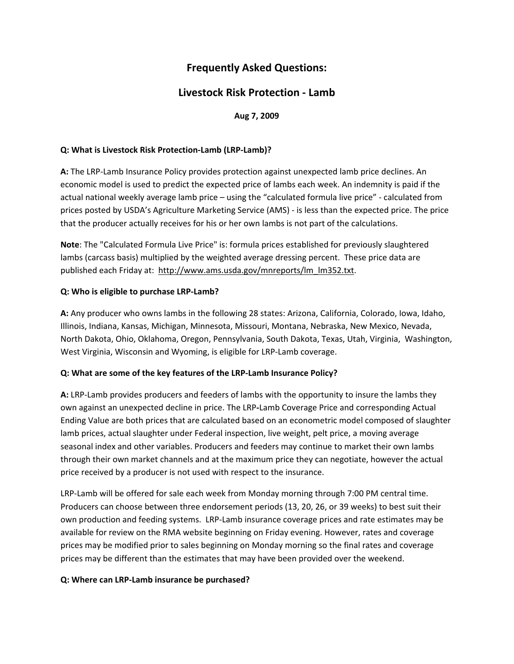# **Frequently Asked Questions:**

# **Livestock Risk Protection ‐ Lamb**

# **Aug 7, 2009**

#### **Q: What is Livestock Risk Protection‐Lamb (LRP‐Lamb)?**

 **A:** The LRP‐Lamb Insurance Policy provides protection against unexpected lamb price declines. An economic model is used to predict the expected price of lambs each week. An indemnity is paid if the actual national weekly average lamb price – using the "calculated formula live price" ‐ calculated from prices posted by USDA's Agriculture Marketing Service (AMS) ‐ is less than the expected price. The price that the producer actually receives for his or her own lambs is not part of the calculations.

 **Note**: The "Calculated Formula Live Price" is: formula prices established for previously slaughtered lambs (carcass basis) multiplied by the weighted average dressing percent. These price data are published each Friday at: http://www.ams.usda.gov/mnreports/lm\_lm352.txt.

#### **Q: Who is eligible to purchase LRP‐Lamb?**

 **A:** Any producer who owns lambs in the following 28 states: Arizona, California, Colorado, Iowa, Idaho, Illinois, Indiana, Kansas, Michigan, Minnesota, Missouri, Montana, Nebraska, New Mexico, Nevada, North Dakota, Ohio, Oklahoma, Oregon, Pennsylvania, South Dakota, Texas, Utah, Virginia, Washington, West Virginia, Wisconsin and Wyoming, is eligible for LRP‐Lamb coverage.

### **Q: What are some of the key features of the LRP‐Lamb Insurance Policy?**

 **A:** LRP‐Lamb provides producers and feeders of lambs with the opportunity to insure the lambs they own against an unexpected decline in price. The LRP**‐**Lamb Coverage Price and corresponding Actual Ending Value are both prices that are calculated based on an econometric model composed of slaughter lamb prices, actual slaughter under Federal inspection, live weight, pelt price, a moving average seasonal index and other variables. Producers and feeders may continue to market their own lambs through their own market channels and at the maximum price they can negotiate, however the actual price received by a producer is not used with respect to the insurance.

 LRP‐Lamb will be offered for sale each week from Monday morning through 7:00 PM central time. Producers can choose between three endorsement periods (13, 20, 26, or 39 weeks) to best suit their own production and feeding systems. LRP‐Lamb insurance coverage prices and rate estimates may be available for review on the RMA website beginning on Friday evening. However, rates and coverage prices may be modified prior to sales beginning on Monday morning so the final rates and coverage prices may be different than the estimates that may have been provided over the weekend.

#### **Q: Where can LRP‐Lamb insurance be purchased?**